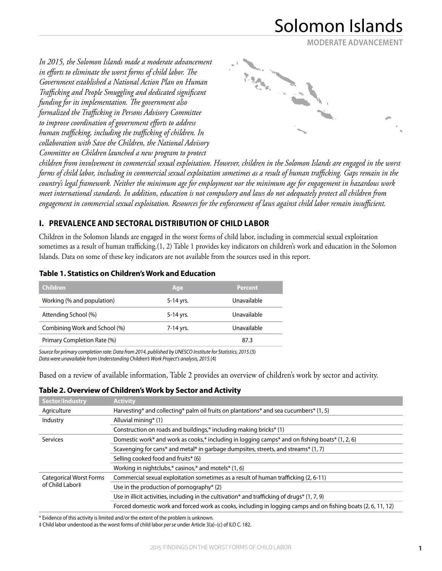**MODERATE ADVANCEMENT**

*In 2015, the Solomon Islands made a moderate advancement in efforts to eliminate the worst forms of child labor. The Government established a National Action Plan on Human Trafficking and People Smuggling and dedicated significant funding for its implementation. The government also formalized the Trafficking in Persons Advisory Committee to improve coordination of government efforts to address human trafficking, including the trafficking of children. In collaboration with Save the Children, the National Advisory Committee on Children launched a new program to protect* 



*children from involvement in commercial sexual exploitation. However, children in the Solomon Islands are engaged in the worst forms of child labor, including in commercial sexual exploitation sometimes as a result of human trafficking. Gaps remain in the country's legal framework. Neither the minimum age for employment nor the minimum age for engagement in hazardous work meet international standards. In addition, education is not compulsory and laws do not adequately protect all children from engagement in commercial sexual exploitation. Resources for the enforcement of laws against child labor remain insufficient.*

## **I. PREVALENCE AND SECTORAL DISTRIBUTION OF CHILD LABOR**

Children in the Solomon Islands are engaged in the worst forms of child labor, including in commercial sexual exploitation sometimes as a result of human trafficking.(1, 2) Table 1 provides key indicators on children's work and education in the Solomon Islands. Data on some of these key indicators are not available from the sources used in this report.

| <b>Children</b>               | Age       | <b>Percent</b> |
|-------------------------------|-----------|----------------|
| Working (% and population)    | 5-14 yrs. | Unavailable    |
| Attending School (%)          | 5-14 yrs. | Unavailable    |
| Combining Work and School (%) | 7-14 yrs. | Unavailable    |
| Primary Completion Rate (%)   |           | 87.3           |

#### **Table 1. Statistics on Children's Work and Education**

*Source for primary completion rate: Data from 2014, published by UNESCO Institute for Statistics, 2015.*(3) *Data were unavailable from Understanding Children's Work Project's analysis, 2015.*(4)

Based on a review of available information, Table 2 provides an overview of children's work by sector and activity.

**Table 2. Overview of Children's Work by Sector and Activity**

| Sector/Industry                                   | <b>Activity</b>                                                                                               |
|---------------------------------------------------|---------------------------------------------------------------------------------------------------------------|
| Agriculture                                       | Harvesting* and collecting* palm oil fruits on plantations* and sea cucumbers* $(1, 5)$                       |
| Industry                                          | Alluvial mining* (1)                                                                                          |
|                                                   | Construction on roads and buildings,* including making bricks* (1)                                            |
| Services                                          | Domestic work* and work as cooks,* including in logging camps* and on fishing boats* (1, 2, 6)                |
|                                                   | Scavenging for cans* and metal* in garbage dumpsites, streets, and streams* (1, 7)                            |
|                                                   | Selling cooked food and fruits* (6)                                                                           |
|                                                   | Working in nightclubs,* casinos,* and motels* $(1, 6)$                                                        |
| <b>Categorical Worst Forms</b><br>of Child Labor‡ | Commercial sexual exploitation sometimes as a result of human trafficking (2, 6-11)                           |
|                                                   | Use in the production of pornography* (2)                                                                     |
|                                                   | Use in illicit activities, including in the cultivation* and trafficking of drugs* $(1, 7, 9)$                |
|                                                   | Forced domestic work and forced work as cooks, including in logging camps and on fishing boats (2, 6, 11, 12) |

\* Evidence of this activity is limited and/or the extent of the problem is unknown.

‡ Child labor understood as the worst forms of child labor *per se* under Article 3(a)–(c) of ILO C. 182.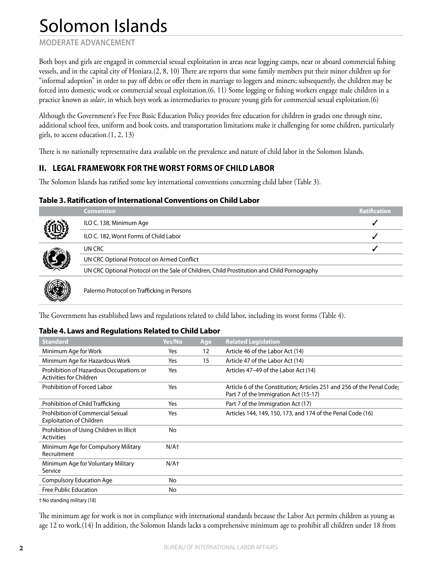**MODERATE ADVANCEMENT**

Both boys and girls are engaged in commercial sexual exploitation in areas near logging camps, near or aboard commercial fishing vessels, and in the capital city of Honiara.(2, 8, 10) There are reports that some family members put their minor children up for "informal adoption" in order to pay off debts or offer them in marriage to loggers and miners; subsequently, the children may be forced into domestic work or commercial sexual exploitation.(6, 11) Some logging or fishing workers engage male children in a practice known as *solair*, in which boys work as intermediaries to procure young girls for commercial sexual exploitation.(6)

Although the Government's Fee Free Basic Education Policy provides free education for children in grades one through nine, additional school fees, uniform and book costs, and transportation limitations make it challenging for some children, particularly girls, to access education.(1, 2, 13)

There is no nationally representative data available on the prevalence and nature of child labor in the Solomon Islands.

### **II. LEGAL FRAMEWORK FOR THE WORST FORMS OF CHILD LABOR**

The Solomon Islands has ratified some key international conventions concerning child labor (Table 3).

#### **Table 3. Ratification of International Conventions on Child Labor**

| <b>Convention</b>                                                                          | Ratification |
|--------------------------------------------------------------------------------------------|--------------|
| ILO C. 138, Minimum Age                                                                    |              |
| ILO C. 182, Worst Forms of Child Labor                                                     |              |
| UN CRC                                                                                     |              |
| UN CRC Optional Protocol on Armed Conflict                                                 |              |
| UN CRC Optional Protocol on the Sale of Children, Child Prostitution and Child Pornography |              |
| Palermo Protocol on Trafficking in Persons                                                 |              |

The Government has established laws and regulations related to child labor, including its worst forms (Table 4).

#### **Table 4. Laws and Regulations Related to Child Labor**

| Article 46 of the Labor Act (14)                                                                                |
|-----------------------------------------------------------------------------------------------------------------|
|                                                                                                                 |
| Article 47 of the Labor Act (14)                                                                                |
| Articles 47–49 of the Labor Act (14)                                                                            |
| Article 6 of the Constitution; Articles 251 and 256 of the Penal Code;<br>Part 7 of the Immigration Act (15-17) |
| Part 7 of the Immigration Act (17)                                                                              |
| Articles 144, 149, 150, 173, and 174 of the Penal Code (16)                                                     |
|                                                                                                                 |
|                                                                                                                 |
|                                                                                                                 |
|                                                                                                                 |
|                                                                                                                 |
|                                                                                                                 |

† No standing military (18)

The minimum age for work is not in compliance with international standards because the Labor Act permits children as young as age 12 to work.(14) In addition, the Solomon Islands lacks a comprehensive minimum age to prohibit all children under 18 from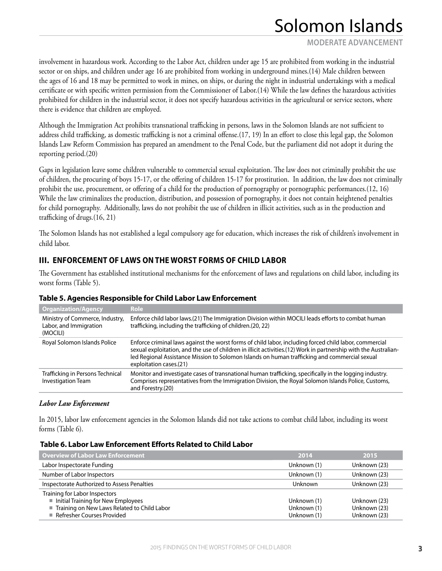**MODERATE ADVANCEMENT**

involvement in hazardous work. According to the Labor Act, children under age 15 are prohibited from working in the industrial sector or on ships, and children under age 16 are prohibited from working in underground mines.(14) Male children between the ages of 16 and 18 may be permitted to work in mines, on ships, or during the night in industrial undertakings with a medical certificate or with specific written permission from the Commissioner of Labor.(14) While the law defines the hazardous activities prohibited for children in the industrial sector, it does not specify hazardous activities in the agricultural or service sectors, where there is evidence that children are employed.

Although the Immigration Act prohibits transnational trafficking in persons, laws in the Solomon Islands are not sufficient to address child trafficking, as domestic trafficking is not a criminal offense.(17, 19) In an effort to close this legal gap, the Solomon Islands Law Reform Commission has prepared an amendment to the Penal Code, but the parliament did not adopt it during the reporting period.(20)

Gaps in legislation leave some children vulnerable to commercial sexual exploitation. The law does not criminally prohibit the use of children, the procuring of boys 15-17, or the offering of children 15-17 for prostitution. In addition, the law does not criminally prohibit the use, procurement, or offering of a child for the production of pornography or pornographic performances.(12, 16) While the law criminalizes the production, distribution, and possession of pornography, it does not contain heightened penalties for child pornography. Additionally, laws do not prohibit the use of children in illicit activities, such as in the production and trafficking of drugs.(16, 21)

The Solomon Islands has not established a legal compulsory age for education, which increases the risk of children's involvement in child labor.

### **III. ENFORCEMENT OF LAWS ON THE WORST FORMS OF CHILD LABOR**

The Government has established institutional mechanisms for the enforcement of laws and regulations on child labor, including its worst forms (Table 5).

| <b>Organization/Agency</b>                                            | Role                                                                                                                                                                                                                                                                                                                                                   |
|-----------------------------------------------------------------------|--------------------------------------------------------------------------------------------------------------------------------------------------------------------------------------------------------------------------------------------------------------------------------------------------------------------------------------------------------|
| Ministry of Commerce, Industry,<br>Labor, and Immigration<br>(MOCILI) | Enforce child labor laws.(21) The Immigration Division within MOCILI leads efforts to combat human<br>trafficking, including the trafficking of children.(20, 22)                                                                                                                                                                                      |
| Royal Solomon Islands Police                                          | Enforce criminal laws against the worst forms of child labor, including forced child labor, commercial<br>sexual exploitation, and the use of children in illicit activities.(12) Work in partnership with the Australian-<br>led Regional Assistance Mission to Solomon Islands on human trafficking and commercial sexual<br>exploitation cases.(21) |
| Trafficking in Persons Technical<br><b>Investigation Team</b>         | Monitor and investigate cases of transnational human trafficking, specifically in the logging industry.<br>Comprises representatives from the Immigration Division, the Royal Solomon Islands Police, Customs,<br>and Forestry.(20)                                                                                                                    |

#### **Table 5. Agencies Responsible for Child Labor Law Enforcement**

#### *Labor Law Enforcement*

In 2015, labor law enforcement agencies in the Solomon Islands did not take actions to combat child labor, including its worst forms (Table 6).

#### **Table 6. Labor Law Enforcement Efforts Related to Child Labor**

| <b>Overview of Labor Law Enforcement</b>    | 2014        | 2015         |
|---------------------------------------------|-------------|--------------|
| Labor Inspectorate Funding                  | Unknown (1) | Unknown (23) |
| Number of Labor Inspectors                  | Unknown (1) | Unknown (23) |
| Inspectorate Authorized to Assess Penalties | Unknown     | Unknown (23) |
| Training for Labor Inspectors               |             |              |
| Initial Training for New Employees          | Unknown (1) | Unknown (23) |
| Training on New Laws Related to Child Labor | Unknown (1) | Unknown (23) |
| Refresher Courses Provided                  | Unknown (1) | Unknown (23) |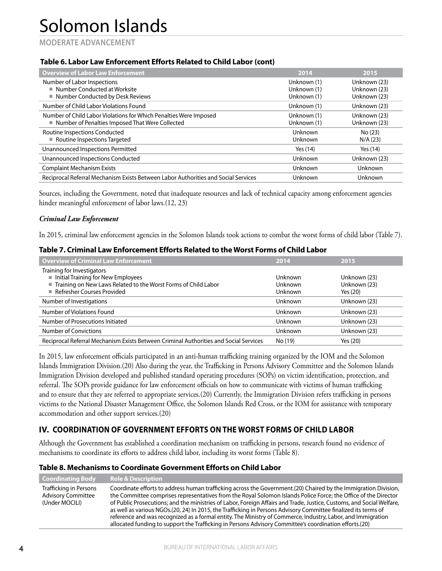**MODERATE ADVANCEMENT**

### **Table 6. Labor Law Enforcement Efforts Related to Child Labor (cont)**

| <b>Overview of Labor Law Enforcement</b>                                                                               | 2014                                      | 2015                                         |
|------------------------------------------------------------------------------------------------------------------------|-------------------------------------------|----------------------------------------------|
| Number of Labor Inspections<br>■ Number Conducted at Worksite<br>■ Number Conducted by Desk Reviews                    | Unknown (1)<br>Unknown (1)<br>Unknown (1) | Unknown (23)<br>Unknown (23)<br>Unknown (23) |
| Number of Child Labor Violations Found                                                                                 | Unknown (1)                               | Unknown (23)                                 |
| Number of Child Labor Violations for Which Penalties Were Imposed<br>■ Number of Penalties Imposed That Were Collected | Unknown (1)<br>Unknown (1)                | Unknown (23)<br>Unknown (23)                 |
| Routine Inspections Conducted<br>Routine Inspections Targeted                                                          | Unknown<br>Unknown                        | No (23)<br>N/A(23)                           |
| Unannounced Inspections Permitted                                                                                      | Yes (14)                                  | Yes (14)                                     |
| Unannounced Inspections Conducted                                                                                      | Unknown                                   | Unknown (23)                                 |
| <b>Complaint Mechanism Exists</b>                                                                                      | Unknown                                   | Unknown                                      |
| Reciprocal Referral Mechanism Exists Between Labor Authorities and Social Services                                     | Unknown                                   | Unknown                                      |

Sources, including the Government, noted that inadequate resources and lack of technical capacity among enforcement agencies hinder meaningful enforcement of labor laws.(12, 23)

#### *Criminal Law Enforcement*

In 2015, criminal law enforcement agencies in the Solomon Islands took actions to combat the worst forms of child labor (Table 7).

#### **Table 7. Criminal Law Enforcement Efforts Related to the Worst Forms of Child Labor**

| <b>Overview of Criminal Law Enforcement</b>                                                                                                                      | 2014                                        | 2015                                     |
|------------------------------------------------------------------------------------------------------------------------------------------------------------------|---------------------------------------------|------------------------------------------|
| Training for Investigators<br>Initial Training for New Employees<br>Training on New Laws Related to the Worst Forms of Child Labor<br>Refresher Courses Provided | Unknown<br><b>Unknown</b><br><b>Unknown</b> | Unknown (23)<br>Unknown (23)<br>Yes (20) |
| Number of Investigations                                                                                                                                         | Unknown                                     | Unknown (23)                             |
| Number of Violations Found                                                                                                                                       | Unknown                                     | Unknown (23)                             |
| Number of Prosecutions Initiated                                                                                                                                 | Unknown                                     | Unknown (23)                             |
| <b>Number of Convictions</b>                                                                                                                                     | Unknown                                     | Unknown (23)                             |
| Reciprocal Referral Mechanism Exists Between Criminal Authorities and Social Services                                                                            | No (19)                                     | Yes (20)                                 |

In 2015, law enforcement officials participated in an anti-human trafficking training organized by the IOM and the Solomon Islands Immigration Division.(20) Also during the year, the Trafficking in Persons Advisory Committee and the Solomon Islands Immigration Division developed and published standard operating procedures (SOPs) on victim identification, protection, and referral. The SOPs provide guidance for law enforcement officials on how to communicate with victims of human trafficking and to ensure that they are referred to appropriate services.(20) Currently, the Immigration Division refers trafficking in persons victims to the National Disaster Management Office, the Solomon Islands Red Cross, or the IOM for assistance with temporary accommodation and other support services.(20)

## **IV. COORDINATION OF GOVERNMENT EFFORTS ON THE WORST FORMS OF CHILD LABOR**

Although the Government has established a coordination mechanism on trafficking in persons, research found no evidence of mechanisms to coordinate its efforts to address child labor, including its worst forms (Table 8).

#### **Table 8. Mechanisms to Coordinate Government Efforts on Child Labor**

| <b>Coordinating Body</b>                                              | <b>Role &amp; Description</b>                                                                                                                                                                                                                                                                                                                                                                                                                                                                                                                                                                                                                                                                          |
|-----------------------------------------------------------------------|--------------------------------------------------------------------------------------------------------------------------------------------------------------------------------------------------------------------------------------------------------------------------------------------------------------------------------------------------------------------------------------------------------------------------------------------------------------------------------------------------------------------------------------------------------------------------------------------------------------------------------------------------------------------------------------------------------|
| Trafficking in Persons<br><b>Advisory Committee</b><br>(Under MOCILI) | Coordinate efforts to address human trafficking across the Government.(20) Chaired by the Immigration Division,<br>the Committee comprises representatives from the Royal Solomon Islands Police Force; the Office of the Director<br>of Public Prosecutions; and the ministries of Labor, Foreign Affairs and Trade, Justice, Customs, and Social Welfare,<br>as well as various NGOs.(20, 24) In 2015, the Trafficking in Persons Advisory Committee finalized its terms of<br>reference and was recognized as a formal entity. The Ministry of Commerce, Industry, Labor, and Immigration<br>allocated funding to support the Trafficking in Persons Advisory Committee's coordination efforts.(20) |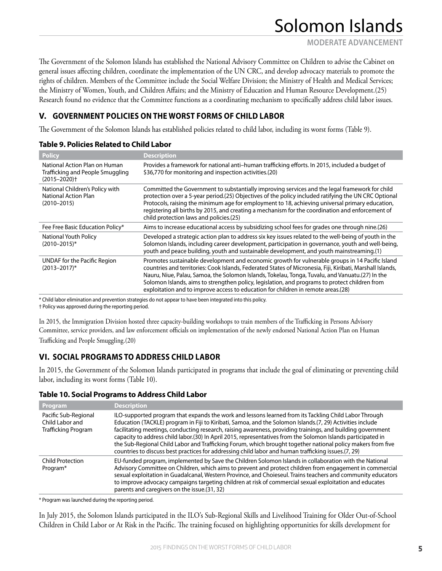**MODERATE ADVANCEMENT**

The Government of the Solomon Islands has established the National Advisory Committee on Children to advise the Cabinet on general issues affecting children, coordinate the implementation of the UN CRC, and develop advocacy materials to promote the rights of children. Members of the Committee include the Social Welfare Division; the Ministry of Health and Medical Services; the Ministry of Women, Youth, and Children Affairs; and the Ministry of Education and Human Resource Development.(25) Research found no evidence that the Committee functions as a coordinating mechanism to specifically address child labor issues.

# **V. GOVERNMENT POLICIES ON THE WORST FORMS OF CHILD LABOR**

The Government of the Solomon Islands has established policies related to child labor, including its worst forms (Table 9).

| <b>Policy</b>                                                                                     | <b>Description</b>                                                                                                                                                                                                                                                                                                                                                                                                                                                                                      |
|---------------------------------------------------------------------------------------------------|---------------------------------------------------------------------------------------------------------------------------------------------------------------------------------------------------------------------------------------------------------------------------------------------------------------------------------------------------------------------------------------------------------------------------------------------------------------------------------------------------------|
| National Action Plan on Human<br>Trafficking and People Smuggling<br>$(2015 - 2020)$ <sup>+</sup> | Provides a framework for national anti-human trafficking efforts. In 2015, included a budget of<br>\$36,770 for monitoring and inspection activities.(20)                                                                                                                                                                                                                                                                                                                                               |
| National Children's Policy with<br><b>National Action Plan</b><br>$(2010 - 2015)$                 | Committed the Government to substantially improving services and the legal framework for child<br>protection over a 5-year period.(25) Objectives of the policy included ratifying the UN CRC Optional<br>Protocols, raising the minimum age for employment to 18, achieving universal primary education,<br>registering all births by 2015, and creating a mechanism for the coordination and enforcement of<br>child protection laws and policies.(25)                                                |
| Fee Free Basic Education Policy*                                                                  | Aims to increase educational access by subsidizing school fees for grades one through nine.(26)                                                                                                                                                                                                                                                                                                                                                                                                         |
| National Youth Policy<br>$(2010 - 2015)^*$                                                        | Developed a strategic action plan to address six key issues related to the well-being of youth in the<br>Solomon Islands, including career development, participation in governance, youth and well-being,<br>youth and peace building, youth and sustainable development, and youth mainstreaming.(1)                                                                                                                                                                                                  |
| UNDAF for the Pacific Region<br>$(2013 - 2017)^*$                                                 | Promotes sustainable development and economic growth for vulnerable groups in 14 Pacific Island<br>countries and territories: Cook Islands, Federated States of Micronesia, Fiji, Kiribati, Marshall Islands,<br>Nauru, Niue, Palau, Samoa, the Solomon Islands, Tokelau, Tonga, Tuvalu, and Vanuatu.(27) In the<br>Solomon Islands, aims to strengthen policy, legislation, and programs to protect children from<br>exploitation and to improve access to education for children in remote areas.(28) |

\* Child labor elimination and prevention strategies do not appear to have been integrated into this policy.

† Policy was approved during the reporting period.

In 2015, the Immigration Division hosted three capacity-building workshops to train members of the Trafficking in Persons Advisory Committee, service providers, and law enforcement officials on implementation of the newly endorsed National Action Plan on Human Trafficking and People Smuggling.(20)

# **VI. SOCIAL PROGRAMS TO ADDRESS CHILD LABOR**

In 2015, the Government of the Solomon Islands participated in programs that include the goal of eliminating or preventing child labor, including its worst forms (Table 10).

### **Table 10. Social Programs to Address Child Labor**

| Program                                                               | <b>Description</b>                                                                                                                                                                                                                                                                                                                                                                                                                                                                                                                                                                                                                                                      |
|-----------------------------------------------------------------------|-------------------------------------------------------------------------------------------------------------------------------------------------------------------------------------------------------------------------------------------------------------------------------------------------------------------------------------------------------------------------------------------------------------------------------------------------------------------------------------------------------------------------------------------------------------------------------------------------------------------------------------------------------------------------|
| Pacific Sub-Regional<br>Child Labor and<br><b>Trafficking Program</b> | ILO-supported program that expands the work and lessons learned from its Tackling Child Labor Through<br>Education (TACKLE) program in Fiji to Kiribati, Samoa, and the Solomon Islands.(7, 29) Activities include<br>facilitating meetings, conducting research, raising awareness, providing trainings, and building government<br>capacity to address child labor.(30) In April 2015, representatives from the Solomon Islands participated in<br>the Sub-Regional Child Labor and Trafficking Forum, which brought together national policy makers from five<br>countries to discuss best practices for addressing child labor and human trafficking issues.(7, 29) |
| <b>Child Protection</b><br>Program*                                   | EU-funded program, implemented by Save the Children Solomon Islands in collaboration with the National<br>Advisory Committee on Children, which aims to prevent and protect children from engagement in commercial<br>sexual exploitation in Guadalcanal, Western Province, and Choieseul. Trains teachers and community educators<br>to improve advocacy campaigns targeting children at risk of commercial sexual exploitation and educates<br>parents and caregivers on the issue.(31, 32)                                                                                                                                                                           |

\* Program was launched during the reporting period.

In July 2015, the Solomon Islands participated in the ILO's Sub-Regional Skills and Livelihood Training for Older Out-of-School Children in Child Labor or At Risk in the Pacific. The training focused on highlighting opportunities for skills development for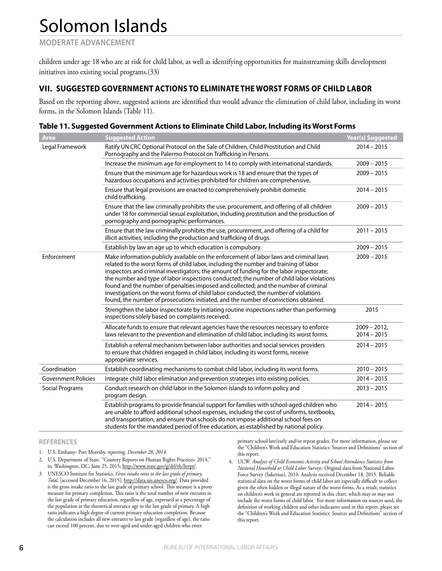**MODERATE ADVANCEMENT**

children under age 18 who are at risk for child labor, as well as identifying opportunities for mainstreaming skills development initiatives into existing social programs.(33)

### **VII. SUGGESTED GOVERNMENT ACTIONS TO ELIMINATE THE WORST FORMS OF CHILD LABOR**

Based on the reporting above, suggested actions are identified that would advance the elimination of child labor, including its worst forms, in the Solomon Islands (Table 11).

| <b>Area</b>                | <b>Suggested Action</b>                                                                                                                                                                                                                                                                                                                                                                                                                                                                                                                                                                                                                        | Year(s) Suggested              |
|----------------------------|------------------------------------------------------------------------------------------------------------------------------------------------------------------------------------------------------------------------------------------------------------------------------------------------------------------------------------------------------------------------------------------------------------------------------------------------------------------------------------------------------------------------------------------------------------------------------------------------------------------------------------------------|--------------------------------|
| Legal Framework            | Ratify UN CRC Optional Protocol on the Sale of Children, Child Prostitution and Child<br>Pornography and the Palermo Protocol on Trafficking in Persons.                                                                                                                                                                                                                                                                                                                                                                                                                                                                                       | $2014 - 2015$                  |
|                            | Increase the minimum age for employment to 14 to comply with international standards.                                                                                                                                                                                                                                                                                                                                                                                                                                                                                                                                                          | $2009 - 2015$                  |
|                            | Ensure that the minimum age for hazardous work is 18 and ensure that the types of<br>hazardous occupations and activities prohibited for children are comprehensive.                                                                                                                                                                                                                                                                                                                                                                                                                                                                           | $2009 - 2015$                  |
|                            | Ensure that legal provisions are enacted to comprehensively prohibit domestic<br>child trafficking.                                                                                                                                                                                                                                                                                                                                                                                                                                                                                                                                            | $2014 - 2015$                  |
|                            | Ensure that the law criminally prohibits the use, procurement, and offering of all children<br>under 18 for commercial sexual exploitation, including prostitution and the production of<br>pornography and pornographic performances.                                                                                                                                                                                                                                                                                                                                                                                                         | $2009 - 2015$                  |
|                            | Ensure that the law criminally prohibits the use, procurement, and offering of a child for<br>illicit activities, including the production and trafficking of drugs.                                                                                                                                                                                                                                                                                                                                                                                                                                                                           | $2011 - 2015$                  |
|                            | Establish by law an age up to which education is compulsory.                                                                                                                                                                                                                                                                                                                                                                                                                                                                                                                                                                                   | $2009 - 2015$                  |
| Enforcement                | Make information publicly available on the enforcement of labor laws and criminal laws<br>related to the worst forms of child labor, including the number and training of labor<br>inspectors and criminal investigators; the amount of funding for the labor inspectorate;<br>the number and type of labor inspections conducted; the number of child labor violations<br>found and the number of penalties imposed and collected; and the number of criminal<br>investigations on the worst forms of child labor conducted, the number of violations<br>found, the number of prosecutions initiated, and the number of convictions obtained. | $2009 - 2015$                  |
|                            | Strengthen the labor inspectorate by initiating routine inspections rather than performing<br>inspections solely based on complaints received.                                                                                                                                                                                                                                                                                                                                                                                                                                                                                                 | 2015                           |
|                            | Allocate funds to ensure that relevant agencies have the resources necessary to enforce<br>laws relevant to the prevention and elimination of child labor, including its worst forms.                                                                                                                                                                                                                                                                                                                                                                                                                                                          | $2009 - 2012$<br>$2014 - 2015$ |
|                            | Establish a referral mechanism between labor authorities and social services providers<br>to ensure that children engaged in child labor, including its worst forms, receive<br>appropriate services.                                                                                                                                                                                                                                                                                                                                                                                                                                          | $2014 - 2015$                  |
| Coordination               | Establish coordinating mechanisms to combat child labor, including its worst forms.                                                                                                                                                                                                                                                                                                                                                                                                                                                                                                                                                            | $2010 - 2015$                  |
| <b>Government Policies</b> | Integrate child labor elimination and prevention strategies into existing policies.                                                                                                                                                                                                                                                                                                                                                                                                                                                                                                                                                            | $2014 - 2015$                  |
| Social Programs            | Conduct research on child labor in the Solomon Islands to inform policy and<br>program design.                                                                                                                                                                                                                                                                                                                                                                                                                                                                                                                                                 | $2013 - 2015$                  |
|                            | Establish programs to provide financial support for families with school-aged children who<br>are unable to afford additional school expenses, including the cost of uniforms, textbooks,<br>and transportation, and ensure that schools do not impose additional school fees on<br>students for the mandated period of free education, as established by national policy.                                                                                                                                                                                                                                                                     | $2014 - 2015$                  |

| Table 11. Suggested Government Actions to Eliminate Child Labor, Including its Worst Forms |  |  |
|--------------------------------------------------------------------------------------------|--|--|
|--------------------------------------------------------------------------------------------|--|--|

#### **REFERENCES**

- 1. U.S. Embassy- Port Moresby. *reporting, December 28, 2014*.
- 2. U.S. Department of State. "Country Reports on Human Rights Practices- 2014," in. Washington, DC; June 25, 2015; http://www.state.gov/g/drl/rls/hrrpt/.
- 3. UNESCO Institute for Statistics. *Gross intake ratio to the last grade of primary. Total*. [accessed December 16, 2015]; http://data.uis.unesco.org/. Data provided is the gross intake ratio to the last grade of primary school. This measure is a proxy measure for primary completion. This ratio is the total number of new entrants in the last grade of primary education, regardless of age, expressed as a percentage of the population at the theoretical entrance age to the last grade of primary. A high ratio indicates a high degree of current primary education completion. Because the calculation includes all new entrants to last grade (regardless of age), the ratio can exceed 100 percent, due to over-aged and under-aged children who enter

primary school late/early and/or repeat grades. For more information, please see the "Children's Work and Education Statistics: Sources and Definitions" section of this report.

4. UCW. *Analysis of Child Economic Activity and School Attendance Statistics from National Household or Child Labor Surveys*. Original data from National Labor Force Survey (Sakernas), 2010. Analysis received December 18, 2015. Reliable statistical data on the worst forms of child labor are especially difficult to collect given the often hidden or illegal nature of the worst forms. As a result, statistics on children's work in general are reported in this chart, which may or may not include the worst forms of child labor. For more information on sources used, the definition of working children and other indicators used in this report, please see the "Children's Work and Education Statistics: Sources and Definitions" section of this report.